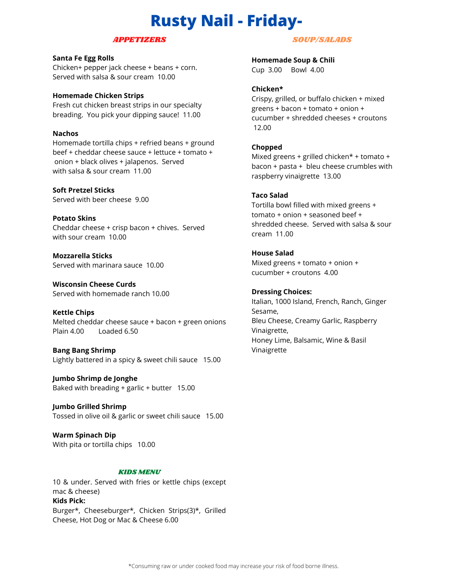# **Rusty Nail - Friday-**

#### APPETIZERS

## **Santa Fe Egg Rolls**

Chicken+ pepper jack cheese + beans + corn. Served with salsa & sour cream 10.00

#### **Homemade Chicken Strips**

Fresh cut chicken breast strips in our specialty breading. You pick your dipping sauce! 11.00

#### **Nachos**

Homemade tortilla chips + refried beans + ground beef + cheddar cheese sauce + lettuce + tomato + onion + black olives + jalapenos. Served with salsa & sour cream 11.00

**Soft Pretzel Sticks** Served with beer cheese 9.00

**Potato Skins** Cheddar cheese + crisp bacon + chives. Served with sour cream 10.00

**Mozzarella Sticks** Served with marinara sauce 10.00

**Wisconsin Cheese Curds** Served with homemade ranch 10.00

**Kettle Chips** Melted cheddar cheese sauce + bacon + green onions Plain 4.00 Loaded 6.50

**Bang Bang Shrimp** Lightly battered in a spicy & sweet chili sauce 15.00

**Jumbo Shrimp de Jonghe** Baked with breading + garlic + butter 15.00

**Jumbo Grilled Shrimp** Tossed in olive oil & garlic or sweet chili sauce 15.00

**Warm Spinach Dip** With pita or tortilla chips 10.00

#### KIDS MENU

10 & under. Served with fries or kettle chips (except mac & cheese) **Kids Pick:** Burger\*, Cheeseburger\*, Chicken Strips(3)\*, Grilled Cheese, Hot Dog or Mac & Cheese 6.00

## SOUP/SALADS

**Homemade Soup & Chili** Cup 3.00 Bowl 4.00

#### **Chicken\***

Crispy, grilled, or buffalo chicken + mixed greens + bacon + tomato + onion + cucumber + shredded cheeses + croutons 12.00

### **Chopped**

Mixed greens + grilled chicken\* + tomato + bacon + pasta + bleu cheese crumbles with raspberry vinaigrette 13.00

#### **Taco Salad**

Tortilla bowl filled with mixed greens + tomato + onion + seasoned beef + shredded cheese. Served with salsa & sour cream 11.00

### **House Salad**

Mixed greens + tomato + onion + cucumber + croutons 4.00

**Dressing Choices:** Italian, 1000 Island, French, Ranch, Ginger Sesame, Bleu Cheese, Creamy Garlic, Raspberry Vinaigrette, Honey Lime, Balsamic, Wine & Basil Vinaigrette